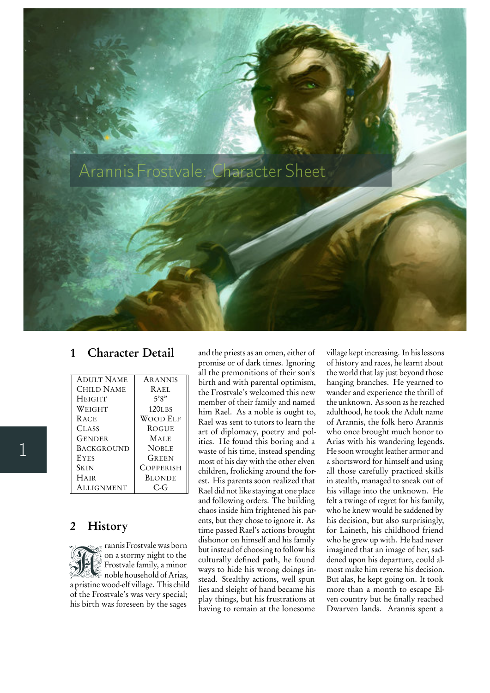

## 1 Character Detail

| <b>ADULT NAME</b> | <b>ARANNIS</b>      |
|-------------------|---------------------|
| CHILD NAME        | RAEL                |
| <b>HEIGHT</b>     | 5'8"                |
| Weight            | 120 <sub>L</sub> BS |
| <b>RACE</b>       | Wood Elf            |
| <b>CLASS</b>      | <b>ROGUE</b>        |
| Gender            | <b>MALE</b>         |
| <b>BACKGROUND</b> | <b>NOBLE</b>        |
| <b>EYES</b>       | GREEN               |
| <b>SKIN</b>       | COPPERISH           |
| <b>HAIR</b>       | <b>BLONDE</b>       |
| <b>ALLIGNMENT</b> | $C_{\tau}$          |

## 2 History

**SHE** rannis Frostvale was born on a stormy night to the Frostvale family, a minor noble household of Arias, a pristine wood-elf village. This child of the Frostvale's was very special; his birth was foreseen by the sages

and the priests as an omen, either of promise or of dark times. Ignoring all the premonitions of their son's birth and with parental optimism, the Frostvale's welcomed this new member of their family and named him Rael. As a noble is ought to, Rael was sent to tutors to learn the art of diplomacy, poetry and politics. He found this boring and a waste of his time, instead spending most of his day with the other elven children, frolicking around the forest. His parents soon realized that Rael did not like staying at one place and following orders. The building chaos inside him frightened his parents, but they chose to ignore it. As time passed Rael's actions brought dishonor on himself and his family but instead of choosing to follow his culturally defined path, he found ways to hide his wrong doings instead. Stealthy actions, well spun lies and sleight of hand became his play things, but his frustrations at having to remain at the lonesome

village kept increasing. In his lessons of history and races, he learnt about the world that lay just beyond those hanging branches. He yearned to wander and experience the thrill of the unknown. As soon as he reached adulthood, he took the Adult name of Arannis, the folk hero Arannis who once brought much honor to Arias with his wandering legends. He soon wrought leather armor and a shortsword for himself and using all those carefully practiced skills in stealth, managed to sneak out of his village into the unknown. He felt a twinge of regret for his family, who he knew would be saddened by his decision, but also surprisingly, for Laineth, his childhood friend who he grew up with. He had never imagined that an image of her, saddened upon his departure, could almost make him reverse his decision. But alas, he kept going on. It took more than a month to escape Elven country but he finally reached Dwarven lands. Arannis spent a